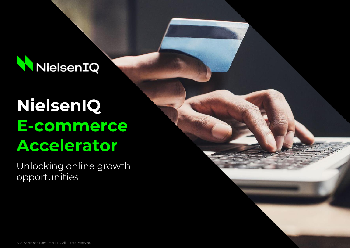

# **NielsenIQ E-commerce Accelerator**

Unlocking online growth opportunities

© 2022 Nielsen Consumer LLC. All Rights Reserved.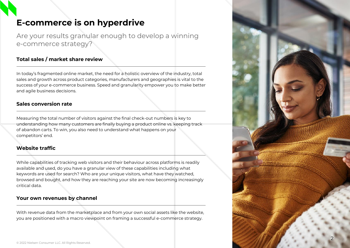# **E-commerce is on hyperdrive**

Are your results granular enough to develop a winning e-commerce strategy?

### **Total sales / market share review**

In today's fragmented online market, the need for a holistic overview of the industry, total sales and growth across product categories, manufacturers and geographies is vital to the success of your e-commerce business. Speed and granularity empower you to make better and agile business decisions.

### **Sales conversion rate**

Measuring the total number of visitors against the final check-out numbers is key to understanding how many customers are finally buying a product online vs. keeping track of abandon carts. To win, you also need to understand what happens on your competitors' end.

### **Website traffic**

While capabilities of tracking web visitors and their behaviour across platforms is readily available and used, do you have a granular view of these capabilities including what keywords are used for search? Who are your unique visitors, what have they watched, browsed and bought, and how they are reaching your site are now becoming increasingly critical data.

### **Your own revenues by channel**

With revenue data from the marketplace and from your own social assets like the website, you are positioned with a macro viewpoint on framing a successful e-commerce strategy.

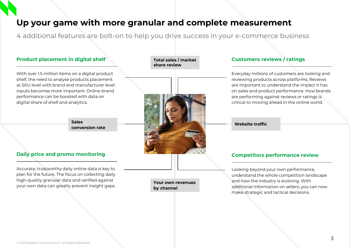# **Up your game with more granular and complete measurement**

4 additional features are bolt-on to help you drive success in your e-commerce business

### With over 1.5 million items on a digital product shelf, the need to analyse products placement at SKU level with brand and manufacturer level inputs becomes more important. Online brand performance can be boosted with data on digital share of shelf and analytics. **Product placement in digital shelf** Accurate, trustworthy daily online data is key to plan for the future. The focus on collecting daily high-quality granular data and verified against **Daily price and promo monitoring** Everyday millions of customers are looking and reviewing products across platforms. Reviews are important to understand the impact it has on sales and product performance. How brands are performing against reviews or ratings is critical to moving ahead in the online world. **Customers reviews / ratings** Looking beyond your own performance, understand the whole competition landscape and how the industry is evolving. With **Competitors performance review Total sales / market share review Website traffic Sales conversion rate**

**Your own revenues by channel**

your own data can greatly prevent insight gaps.

additional information on sellers, you can now

make strategic and tactical decisions.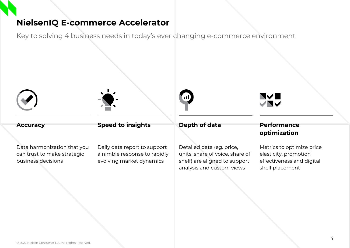## **NielsenIQ E-commerce Accelerator**

Key to solving 4 business needs in today's ever changing e-commerce environment







# NYE<br>VNY



Data harmonization that you can trust to make strategic business decisions

Daily data report to support a nimble response to rapidly evolving market dynamics

Detailed data (eg. price, units, share of voice, share of shelf) are aligned to support analysis and custom views

# **optimization**

Metrics to optimize price elasticity, promotion effectiveness and digital shelf placement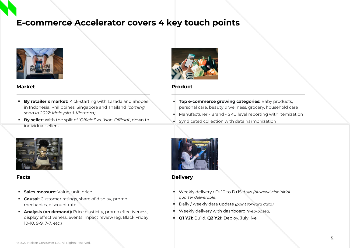# **E-commerce Accelerator covers 4 key touch points**



### **Market**

- **By retailer x market:** Kick-starting with Lazada and Shopee in Indonesia, Philippines, Singapore and Thailand *(coming soon in 2022: Malaysia & Vietnam)*
- **By seller:** With the split of *'Official'* vs. *'Non-Official'*, down to individual sellers



### **Facts**

- **· Sales measure:** Value, unit, price
- **Causal:** Customer ratings, share of display, promo mechanics, discount rate
- **Analysis (on demand):** Price elasticity, promo effectiveness, display effectiveness, events impact review (eg. Black Friday, 10-10, 9-9, 7-7, etc.)



### **Product**

- **Top e-commerce growing categories: Baby products,** personal care, beauty & wellness, grocery, household care
- Manufacturer Brand SKU level reporting with itemization
- Syndicated collection with data harmonization



### **Delivery**

- Weekly delivery / D+10 to D+15 days *(bi-weekly for initial quarter deliverable)*
- Daily / weekly data update *(point forward data)*
- Weekly delivery with dashboard *(web-based)*
- **Q1 Y21:** Build, **Q2 Y21:** Deploy, July live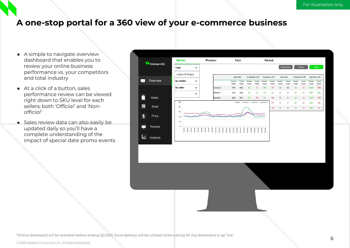# **A one-stop portal for a 360 view of your e-commerce business**

- A simple to navigate overview dashboard that enables you to review your online business performance vs. your competitors and total industry
- At a click of a button, sales performance review can be viewed right down to SKU level for each sellers; both *'Official'* and *'Nonofficial'*
- Sales review data can also easily be updated daily so you'll have a complete understanding of the impact of special date promo events

| NielsenIQ                |                       | <b>Market</b>   |                                                                                                                                                                                                                                                                                                                                                                                                                   | Product |                                                                                                                     | Fact                      |                      |                      | Period                                                |                           |                   |                           |                    |                    |                   |                           |                   |
|--------------------------|-----------------------|-----------------|-------------------------------------------------------------------------------------------------------------------------------------------------------------------------------------------------------------------------------------------------------------------------------------------------------------------------------------------------------------------------------------------------------------------|---------|---------------------------------------------------------------------------------------------------------------------|---------------------------|----------------------|----------------------|-------------------------------------------------------|---------------------------|-------------------|---------------------------|--------------------|--------------------|-------------------|---------------------------|-------------------|
|                          |                       | Total           | $\checkmark$                                                                                                                                                                                                                                                                                                                                                                                                      |         |                                                                                                                     |                           |                      |                      |                                                       |                           |                   |                           | Download           |                    | Reset             |                           | Apply             |
|                          |                       | Lazada & Shopee |                                                                                                                                                                                                                                                                                                                                                                                                                   |         |                                                                                                                     |                           | <b>Sales Value</b>   |                      | % Chg.Value vs.PP                                     |                           | Chg. Value vs. PP |                           | <b>Sales Units</b> |                    | % Chg.Units vs.PP | Chg. Units vs. PP         |                   |
| $\overline{\phantom{a}}$ | Overview              | By retailer     | $\checkmark$                                                                                                                                                                                                                                                                                                                                                                                                      |         |                                                                                                                     | <b>Previous</b><br>Period | Current<br>Period    | Previous<br>Period   | Current<br>Period                                     | <b>Previous</b><br>Period | Current<br>Period | Previous<br>Period        | Current<br>Period  | Previous<br>Period | Current<br>Period | <b>Previous</b><br>Period | Current<br>Period |
|                          |                       | By seller       | $\check{~}$                                                                                                                                                                                                                                                                                                                                                                                                       |         | Category                                                                                                            | 676                       | 662                  | 45                   | $-2$                                                  | 211                       | $-13$             | 12                        | 12                 | 40                 | $-5$              | 3,456                     | $-555$            |
| Ĥ                        |                       |                 | $\checkmark$                                                                                                                                                                                                                                                                                                                                                                                                      |         | Brand A                                                                                                             | 125                       | 205                  | 45                   | 64                                                    | 39                        | 80                | $\mathbf{2}$              | $\overline{2}$     | 37                 | 10                | 577                       | 208               |
|                          | Sales                 | 25              |                                                                                                                                                                                                                                                                                                                                                                                                                   |         | Brand B                                                                                                             | 229<br>-Category          | 201                  | 69                   | $-12$<br>---Product 2 -----Product 3 -------Product 4 | 94                        | $-28$<br>$-17$    | ${\bf 5}$<br>$\mathbf{1}$ | 4<br>$\mathbf{1}$  | 58<br>27           | $-4$<br>$-8$      | 1,693<br>269              | $-177$<br>$-99$   |
| H                        | Shelf                 | 20              |                                                                                                                                                                                                                                                                                                                                                                                                                   |         |                                                                                                                     |                           |                      |                      |                                                       |                           | $-10$             | $\,$ 0 $\,$               | $\,$ 0 $\,$        | 46                 | $\cdot 4$         | 112                       | $-15$             |
| \$                       | Price                 | 15<br>10        |                                                                                                                                                                                                                                                                                                                                                                                                                   |         |                                                                                                                     |                           |                      |                      |                                                       |                           |                   |                           |                    |                    |                   |                           |                   |
|                          |                       | 5               |                                                                                                                                                                                                                                                                                                                                                                                                                   |         |                                                                                                                     |                           |                      |                      |                                                       |                           |                   |                           |                    |                    |                   |                           |                   |
|                          | Review                | $\mathbf 0$     |                                                                                                                                                                                                                                                                                                                                                                                                                   |         |                                                                                                                     |                           |                      |                      |                                                       |                           |                   |                           |                    |                    |                   |                           |                   |
|                          |                       |                 | $\begin{tabular}{ c c c c } \hline \textbf{Period} & \textbf{3} & \textbf{4} & \textbf{5} & \textbf{6} & \textbf{7} & \textbf{8} & \textbf{8} & \textbf{9} & \textbf{10} & \textbf{10} & \textbf{10} & \textbf{10} & \textbf{10} & \textbf{10} & \textbf{10} & \textbf{10} & \textbf{10} & \textbf{10} & \textbf{10} & \textbf{10} & \textbf{10} & \textbf{10} & \textbf{10} & \textbf{10} & \textbf{10} & \text$ |         | Period8<br>Period11<br>Period11<br>Period11<br>Period14<br>Period15<br>Period15<br>Period15<br>Period15<br>Period15 |                           | Period <sub>18</sub> | Period19<br>Period20 | Period21<br>Period22                                  | Period23<br>Period24      |                   |                           |                    |                    |                   |                           |                   |
|                          | $\mathbf{z}$ Analysis |                 |                                                                                                                                                                                                                                                                                                                                                                                                                   |         |                                                                                                                     |                           |                      |                      |                                                       |                           |                   |                           |                    |                    |                   |                           |                   |
|                          |                       |                 |                                                                                                                                                                                                                                                                                                                                                                                                                   |         |                                                                                                                     |                           |                      |                      |                                                       |                           |                   |                           |                    |                    |                   |                           |                   |
|                          |                       |                 |                                                                                                                                                                                                                                                                                                                                                                                                                   |         |                                                                                                                     |                           |                      |                      |                                                       |                           |                   |                           |                    |                    |                   |                           |                   |
|                          |                       |                 |                                                                                                                                                                                                                                                                                                                                                                                                                   |         |                                                                                                                     |                           |                      |                      |                                                       |                           |                   |                           |                    |                    |                   |                           |                   |
|                          |                       |                 |                                                                                                                                                                                                                                                                                                                                                                                                                   |         |                                                                                                                     |                           |                      |                      |                                                       |                           |                   |                           |                    |                    |                   |                           |                   |
|                          |                       |                 |                                                                                                                                                                                                                                                                                                                                                                                                                   |         |                                                                                                                     |                           |                      |                      |                                                       |                           |                   |                           |                    |                    |                   |                           |                   |
|                          |                       |                 |                                                                                                                                                                                                                                                                                                                                                                                                                   |         |                                                                                                                     |                           |                      |                      |                                                       |                           |                   |                           |                    |                    |                   |                           |                   |
|                          |                       |                 |                                                                                                                                                                                                                                                                                                                                                                                                                   |         |                                                                                                                     |                           |                      |                      |                                                       |                           |                   |                           |                    |                    |                   |                           |                   |
|                          |                       |                 |                                                                                                                                                                                                                                                                                                                                                                                                                   |         |                                                                                                                     |                           |                      |                      |                                                       |                           |                   |                           |                    |                    |                   |                           |                   |
|                          |                       |                 |                                                                                                                                                                                                                                                                                                                                                                                                                   |         |                                                                                                                     |                           |                      |                      |                                                       |                           |                   |                           |                    |                    |                   |                           |                   |
|                          |                       |                 |                                                                                                                                                                                                                                                                                                                                                                                                                   |         |                                                                                                                     |                           |                      |                      |                                                       |                           |                   |                           |                    |                    |                   |                           |                   |
|                          |                       |                 |                                                                                                                                                                                                                                                                                                                                                                                                                   |         |                                                                                                                     |                           |                      |                      |                                                       |                           |                   |                           |                    |                    |                   |                           |                   |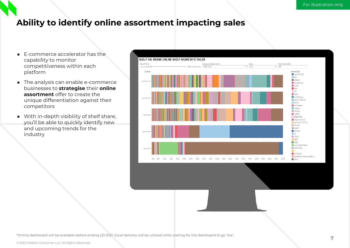# **Ability to identify online assortment impacting sales**

- E-commerce accelerator has the capability to monitor competitiveness within each platform
- The analysis can enable e-commerce businesses to **strategise** their **online assortment** offer to create the unique differentiation against their competitors
- With in-depth visibility of shelf share, you'll be able to quickly identify new and upcoming trends for the industry

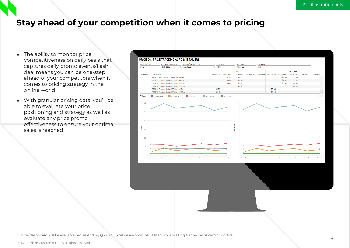# **Stay ahead of your competition when it comes to pricing**

- The ability to monitor price competitiveness on daily basis that captures daily promo events/flash deal means you can be one-step ahead of your competitors when it comes to pricing strategy in the online world
- With granular pricing data, you'll be able to evaluate your price positioning and strategy as well as evaluate any price promo effectiveness to ensure your optimal sales is reached

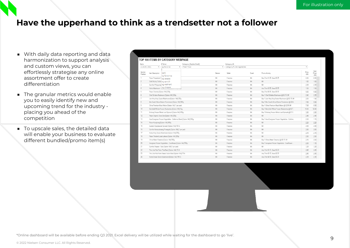# **Have the upperhand to think as a trendsetter not a follower**

- With daily data reporting and data harmonization to support analysis and custom views, you can effortlessly strategise any online assortment offer to create differentiation
- The granular metrics would enable you to easily identify new and upcoming trend for the industry placing you ahead of the competition
- To upscale sales, the detailed data will enable your business to evaluate different bundled/promo item(s)

| TOP 100 ITEMS BY CATEGORY WEBPAGE                     |  |                                                                                                                                                                                                                                                                                                                                                                                                                                                                                                                                                                                                                                     |                                                                                                                                                                                                                                                                                                                                                                                                                                                                                                                                                                                          |             |           |                                                    |                     |                        |  |  |  |  |  |
|-------------------------------------------------------|--|-------------------------------------------------------------------------------------------------------------------------------------------------------------------------------------------------------------------------------------------------------------------------------------------------------------------------------------------------------------------------------------------------------------------------------------------------------------------------------------------------------------------------------------------------------------------------------------------------------------------------------------|------------------------------------------------------------------------------------------------------------------------------------------------------------------------------------------------------------------------------------------------------------------------------------------------------------------------------------------------------------------------------------------------------------------------------------------------------------------------------------------------------------------------------------------------------------------------------------------|-------------|-----------|----------------------------------------------------|---------------------|------------------------|--|--|--|--|--|
|                                                       |  | Category (Digital Shelf)                                                                                                                                                                                                                                                                                                                                                                                                                                                                                                                                                                                                            |                                                                                                                                                                                                                                                                                                                                                                                                                                                                                                                                                                                          | Category ID |           |                                                    |                     |                        |  |  |  |  |  |
| June 30, 2021<br>Fresh Food<br>sg.fairprice<br>٠<br>۰ |  |                                                                                                                                                                                                                                                                                                                                                                                                                                                                                                                                                                                                                                     | $\scriptstyle\star$                                                                                                                                                                                                                                                                                                                                                                                                                                                                                                                                                                      |             |           |                                                    | $\scriptstyle\rm v$ |                        |  |  |  |  |  |
| Item Description                                      |  |                                                                                                                                                                                                                                                                                                                                                                                                                                                                                                                                                                                                                                     | Banner                                                                                                                                                                                                                                                                                                                                                                                                                                                                                                                                                                                   | Seller      | Event     | Promo Activity                                     | Price<br>(SS)       | Sale<br>Price<br>(S\$) |  |  |  |  |  |
|                                                       |  |                                                                                                                                                                                                                                                                                                                                                                                                                                                                                                                                                                                                                                     | <b>NA</b>                                                                                                                                                                                                                                                                                                                                                                                                                                                                                                                                                                                | Fairprice   | <b>NA</b> | Buy 2 for \$1.65. Save \$0.25                      | 0.95                | 0.95                   |  |  |  |  |  |
|                                                       |  |                                                                                                                                                                                                                                                                                                                                                                                                                                                                                                                                                                                                                                     | <b>NA</b>                                                                                                                                                                                                                                                                                                                                                                                                                                                                                                                                                                                | Fairprice   | <b>NA</b> | <b>NA</b>                                          | 1.80                | 1.80                   |  |  |  |  |  |
|                                                       |  |                                                                                                                                                                                                                                                                                                                                                                                                                                                                                                                                                                                                                                     | <b>NA</b>                                                                                                                                                                                                                                                                                                                                                                                                                                                                                                                                                                                | Fairprice   | <b>NA</b> | <b>NA</b>                                          | 2.35                | 2.35                   |  |  |  |  |  |
|                                                       |  |                                                                                                                                                                                                                                                                                                                                                                                                                                                                                                                                                                                                                                     | <b>NA</b>                                                                                                                                                                                                                                                                                                                                                                                                                                                                                                                                                                                | Fairprice   | <b>NA</b> | Any 3 for \$3.55, Save \$0.95                      | 1.50                | 1.50                   |  |  |  |  |  |
|                                                       |  |                                                                                                                                                                                                                                                                                                                                                                                                                                                                                                                                                                                                                                     | <b>NA</b>                                                                                                                                                                                                                                                                                                                                                                                                                                                                                                                                                                                | Fairprice   | <b>NA</b> | Buy 2 for \$9.95, Save \$9.95                      | 9.95                | 9.95                   |  |  |  |  |  |
|                                                       |  |                                                                                                                                                                                                                                                                                                                                                                                                                                                                                                                                                                                                                                     | <b>NA</b>                                                                                                                                                                                                                                                                                                                                                                                                                                                                                                                                                                                | Fairprice   | <b>NA</b> | Buy 1 Chef Shiitake Mushroom @ \$0.15 Off          | 2.40                | 2.25                   |  |  |  |  |  |
|                                                       |  |                                                                                                                                                                                                                                                                                                                                                                                                                                                                                                                                                                                                                                     | <b>NA</b>                                                                                                                                                                                                                                                                                                                                                                                                                                                                                                                                                                                | Fairprice   | <b>NA</b> | Buy 1 Join Hing King Oyster Mushroom @ \$0.15 Off  | 2.05                | 1.90                   |  |  |  |  |  |
|                                                       |  |                                                                                                                                                                                                                                                                                                                                                                                                                                                                                                                                                                                                                                     | <b>NA</b>                                                                                                                                                                                                                                                                                                                                                                                                                                                                                                                                                                                | Fairprice   | <b>NA</b> | Buy 1 Mor South Africa Sharon Persimmon @ \$2.4.   | 7.95                | 5.50                   |  |  |  |  |  |
|                                                       |  |                                                                                                                                                                                                                                                                                                                                                                                                                                                                                                                                                                                                                                     | <b>NA</b>                                                                                                                                                                                                                                                                                                                                                                                                                                                                                                                                                                                | Fairprice   | <b>NA</b> | Buy 1 China Premium Musk Melon @ \$2.00 Off        | 7.95                | 5.95                   |  |  |  |  |  |
|                                                       |  |                                                                                                                                                                                                                                                                                                                                                                                                                                                                                                                                                                                                                                     | <b>NA</b>                                                                                                                                                                                                                                                                                                                                                                                                                                                                                                                                                                                | Fairprice   | <b>NA</b> | Buy 1 Berryfield Whole Frozen Blueberries @ \$6.7. | 19.50               | 12.80                  |  |  |  |  |  |
|                                                       |  |                                                                                                                                                                                                                                                                                                                                                                                                                                                                                                                                                                                                                                     | <b>NA</b>                                                                                                                                                                                                                                                                                                                                                                                                                                                                                                                                                                                | Fairprice   | <b>NA</b> | Buy 1 Emborg Frozen Whole Leaf Spinach @ \$1.0     | 3.95                | 2.95                   |  |  |  |  |  |
|                                                       |  |                                                                                                                                                                                                                                                                                                                                                                                                                                                                                                                                                                                                                                     | <b>NA</b>                                                                                                                                                                                                                                                                                                                                                                                                                                                                                                                                                                                | Fairprice   | <b>NA</b> | <b>NA</b>                                          | 2.45                | 2.45                   |  |  |  |  |  |
|                                                       |  |                                                                                                                                                                                                                                                                                                                                                                                                                                                                                                                                                                                                                                     | <b>NA</b>                                                                                                                                                                                                                                                                                                                                                                                                                                                                                                                                                                                | Fairprice   | <b>NA</b> | Buy 1 Asia Evergreen Frozen Vegetables - Californ. | 2.30                | 1.15                   |  |  |  |  |  |
|                                                       |  |                                                                                                                                                                                                                                                                                                                                                                                                                                                                                                                                                                                                                                     | <b>NA</b>                                                                                                                                                                                                                                                                                                                                                                                                                                                                                                                                                                                | Fairprice   | <b>NA</b> | <b>NA</b>                                          | 2.20                | 2.20                   |  |  |  |  |  |
|                                                       |  |                                                                                                                                                                                                                                                                                                                                                                                                                                                                                                                                                                                                                                     | <b>NA</b>                                                                                                                                                                                                                                                                                                                                                                                                                                                                                                                                                                                | Fairprice   | <b>NA</b> | <b>NA</b>                                          | 4.95                | 4.95                   |  |  |  |  |  |
|                                                       |  |                                                                                                                                                                                                                                                                                                                                                                                                                                                                                                                                                                                                                                     | <b>NA</b>                                                                                                                                                                                                                                                                                                                                                                                                                                                                                                                                                                                | Fairprice   | <b>NA</b> | <b>NA</b>                                          | 2.85                | 2.85                   |  |  |  |  |  |
|                                                       |  |                                                                                                                                                                                                                                                                                                                                                                                                                                                                                                                                                                                                                                     | <b>NA</b>                                                                                                                                                                                                                                                                                                                                                                                                                                                                                                                                                                                | Fairprice   | <b>NA</b> | <b>NA</b>                                          | 2.15                | 2.15                   |  |  |  |  |  |
|                                                       |  |                                                                                                                                                                                                                                                                                                                                                                                                                                                                                                                                                                                                                                     | <b>NA</b>                                                                                                                                                                                                                                                                                                                                                                                                                                                                                                                                                                                | Fairprice   | <b>NA</b> | <b>NA</b>                                          | 2.80                | 2.80                   |  |  |  |  |  |
|                                                       |  |                                                                                                                                                                                                                                                                                                                                                                                                                                                                                                                                                                                                                                     | <b>NA</b>                                                                                                                                                                                                                                                                                                                                                                                                                                                                                                                                                                                | Fairprice   | <b>NA</b> | Buy 1 China Water Chestnut @ \$0.15 Off            | 215                 | 2.00                   |  |  |  |  |  |
|                                                       |  |                                                                                                                                                                                                                                                                                                                                                                                                                                                                                                                                                                                                                                     | <b>NA</b>                                                                                                                                                                                                                                                                                                                                                                                                                                                                                                                                                                                | Fairprice   | <b>NA</b> | Buy 1 Asiagreen Frozen Vegetables - Cauliflower.   | 2.30                | 1.15                   |  |  |  |  |  |
|                                                       |  |                                                                                                                                                                                                                                                                                                                                                                                                                                                                                                                                                                                                                                     | <b>NA</b>                                                                                                                                                                                                                                                                                                                                                                                                                                                                                                                                                                                | Fairprice   | <b>NA</b> | <b>NA</b>                                          | 3.25                | 3.25                   |  |  |  |  |  |
|                                                       |  |                                                                                                                                                                                                                                                                                                                                                                                                                                                                                                                                                                                                                                     | <b>NA</b>                                                                                                                                                                                                                                                                                                                                                                                                                                                                                                                                                                                | Fairprice   | NA        | Any 3 for \$5.15, Save \$2.20                      | 2.45                | 2.45                   |  |  |  |  |  |
|                                                       |  |                                                                                                                                                                                                                                                                                                                                                                                                                                                                                                                                                                                                                                     | <b>NA</b>                                                                                                                                                                                                                                                                                                                                                                                                                                                                                                                                                                                | Fairprice   | <b>NA</b> | Any 3 for \$5.15. Save \$2.20                      | 245                 | 2.45                   |  |  |  |  |  |
|                                                       |  |                                                                                                                                                                                                                                                                                                                                                                                                                                                                                                                                                                                                                                     | <b>NA</b>                                                                                                                                                                                                                                                                                                                                                                                                                                                                                                                                                                                | Fairprice   | <b>NA</b> | Any 2 for \$4.50, Save \$0.20                      | 2.35                | 2.35                   |  |  |  |  |  |
|                                                       |  | E-Tailer<br>(A  )<br>sq.fairprice<br>Pasar Prepacked C sg.lazada<br>Gold Beijing Cabba sq.qoo10<br>Sumifru Philippines Sg.redmart<br>Hokto Mushroom - sg.shopee<br>Pasar Cherries [Option: NA] 250g<br>Chef Shiitake Mushroom [Option: NAI 250g<br>Pasar Organic Chye Sim [Option: NA] 200g<br>Pasar Kangkong [Option: NA] 400g<br>Sustenir Spectacular Spinach [Option: NA] 100 G<br>Korea King Oyster Mushroom [Option: NA] 200g<br>Pasar Thailand Local Lettuce [Option: NA] 250q<br>China Water Chestnut [Option: NA] 500g<br>Sumifru Papaya - Solo [Option: NA] 1 per pack<br>The Little Red Farm Thai Basil [Option: NA] 15 G | Join Hing King Ovster Mushroom [Option: NA] 250g<br>Mor South Africa Sharon Persimmon [Option: NA] 900g<br>China Premium Musk Melon [Option: NA] 1 per pack<br>Berryfield Whole Frozen Blueberries [Option: NA] 1kg<br>Emborg Frozen Whole Leaf Spinach [Option: NA] 450g<br>Asia Evergreen Frozen Vegetables - California Blend [Option: NA] 500g<br>Sumifru Kamsookwang Pineapple [Option: NA] 1 per pack<br>Asiagreen Frozen Vegetables - Cauliflower [Option: NA] 500g<br>The Little Red Farm Sweet Italian Basil [Option: NAI 15 G<br>Korea Brown Beech Mushroom [Option: NA] 150 G |             |           | category/fruits-vegetables                         |                     |                        |  |  |  |  |  |